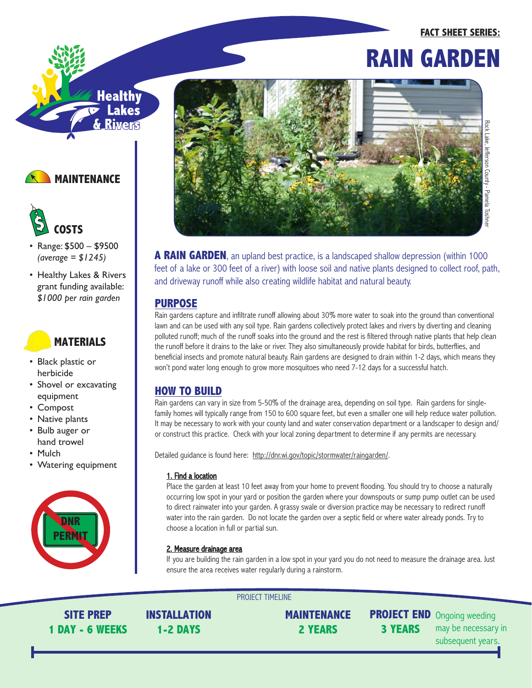# **FACT SHEET SERIES: RAIN GARDEN**



# **MAINTENANCE**



- Range: \$500 \$9500 *(average = \$1245)*
- Healthy Lakes & Rivers grant funding available: *\$1000 per rain garden*

## **MATERIALS**

- Black plastic or herbicide
- Shovel or excavating equipment
- Compost
- Native plants
- Bulb auger or hand trowel
- Mulch
- Watering equipment





**A RAIN GARDEN**, an upland best practice, is a landscaped shallow depression (within 1000) feet of a lake or 300 feet of a river) with loose soil and native plants designed to collect roof, path, and driveway runoff while also creating wildlife habitat and natural beauty.

### **PURPOSE**

Rain gardens capture and infiltrate runoff allowing about 30% more water to soak into the ground than conventional lawn and can be used with any soil type. Rain gardens collectively protect lakes and rivers by diverting and cleaning polluted runoff; much of the runoff soaks into the ground and the rest is filtered through native plants that help clean the runoff before it drains to the lake or river. They also simultaneously provide habitat for birds, butterflies, and beneficial insects and promote natural beauty. Rain gardens are designed to drain within 1-2 days, which means they won't pond water long enough to grow more mosquitoes who need 7-12 days for a successful hatch.

## **HOW TO BUILD**

Rain gardens can vary in size from 5-50% of the drainage area, depending on soil type. Rain gardens for singlefamily homes will typically range from 150 to 600 square feet, but even a smaller one will help reduce water pollution. It may be necessary to work with your county land and water conservation department or a landscaper to design and/ or construct this practice. Check with your local zoning department to determine if any permits are necessary.

Detailed guidance is found here: http://dnr.wi.gov/topic/stormwater/raingarden/.

PROJECT TIMELINE

#### 1. Find a location

Place the garden at least 10 feet away from your home to prevent flooding. You should try to choose a naturally occurring low spot in your yard or position the garden where your downspouts or sump pump outlet can be used to direct rainwater into your garden. A grassy swale or diversion practice may be necessary to redirect runoff water into the rain garden. Do not locate the garden over a septic field or where water already ponds. Try to choose a location in full or partial sun.

### 2. Measure drainage area

If you are building the rain garden in a low spot in your yard you do not need to measure the drainage area. Just ensure the area receives water regularly during a rainstorm.

**SITE PREP 1 DAY - 6 WEEKS** **INSTALLATION 1-2 DAYS**

**MAINTENANCE 2 YEARS**

**3 YEARS**

**PROJECT END** Ongoing weeding may be necessary in subsequent years.